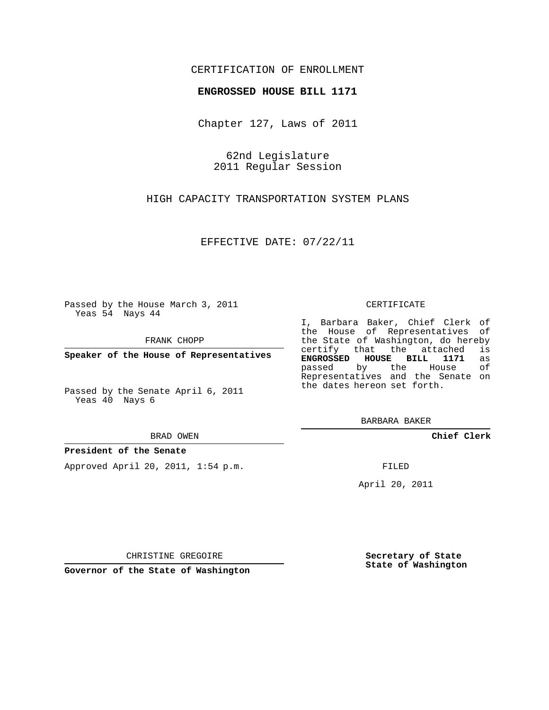## CERTIFICATION OF ENROLLMENT

### **ENGROSSED HOUSE BILL 1171**

Chapter 127, Laws of 2011

62nd Legislature 2011 Regular Session

HIGH CAPACITY TRANSPORTATION SYSTEM PLANS

EFFECTIVE DATE: 07/22/11

Passed by the House March 3, 2011 Yeas 54 Nays 44

FRANK CHOPP

**Speaker of the House of Representatives**

Passed by the Senate April 6, 2011 Yeas 40 Nays 6

#### BRAD OWEN

#### **President of the Senate**

Approved April 20, 2011, 1:54 p.m.

#### CERTIFICATE

I, Barbara Baker, Chief Clerk of the House of Representatives of the State of Washington, do hereby<br>certify that the attached is certify that the attached is<br>**ENGROSSED HOUSE BILL 1171** as **ENGROSSED HOUSE BILL 1171** as passed by the House Representatives and the Senate on the dates hereon set forth.

BARBARA BAKER

**Chief Clerk**

FILED

April 20, 2011

CHRISTINE GREGOIRE

**Governor of the State of Washington**

**Secretary of State State of Washington**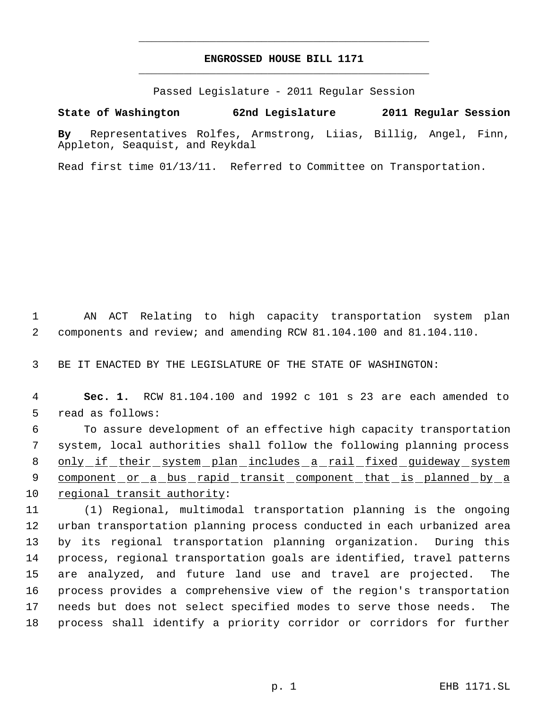# **ENGROSSED HOUSE BILL 1171** \_\_\_\_\_\_\_\_\_\_\_\_\_\_\_\_\_\_\_\_\_\_\_\_\_\_\_\_\_\_\_\_\_\_\_\_\_\_\_\_\_\_\_\_\_

\_\_\_\_\_\_\_\_\_\_\_\_\_\_\_\_\_\_\_\_\_\_\_\_\_\_\_\_\_\_\_\_\_\_\_\_\_\_\_\_\_\_\_\_\_

Passed Legislature - 2011 Regular Session

**State of Washington 62nd Legislature 2011 Regular Session**

**By** Representatives Rolfes, Armstrong, Liias, Billig, Angel, Finn, Appleton, Seaquist, and Reykdal

Read first time 01/13/11. Referred to Committee on Transportation.

 1 AN ACT Relating to high capacity transportation system plan 2 components and review; and amending RCW 81.104.100 and 81.104.110.

3 BE IT ENACTED BY THE LEGISLATURE OF THE STATE OF WASHINGTON:

 4 **Sec. 1.** RCW 81.104.100 and 1992 c 101 s 23 are each amended to 5 read as follows:

 6 To assure development of an effective high capacity transportation 7 system, local authorities shall follow the following planning process 8 only if their system plan includes a rail fixed guideway system 9 component or a bus rapid transit component that is planned by a 10 regional transit authority:

 (1) Regional, multimodal transportation planning is the ongoing urban transportation planning process conducted in each urbanized area by its regional transportation planning organization. During this process, regional transportation goals are identified, travel patterns are analyzed, and future land use and travel are projected. The process provides a comprehensive view of the region's transportation needs but does not select specified modes to serve those needs. The process shall identify a priority corridor or corridors for further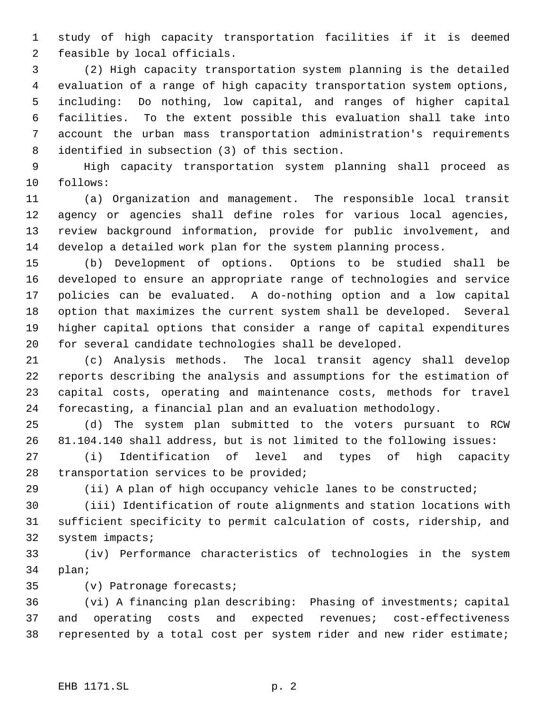study of high capacity transportation facilities if it is deemed feasible by local officials.

 (2) High capacity transportation system planning is the detailed evaluation of a range of high capacity transportation system options, including: Do nothing, low capital, and ranges of higher capital facilities. To the extent possible this evaluation shall take into account the urban mass transportation administration's requirements identified in subsection (3) of this section.

 High capacity transportation system planning shall proceed as follows:

 (a) Organization and management. The responsible local transit agency or agencies shall define roles for various local agencies, review background information, provide for public involvement, and develop a detailed work plan for the system planning process.

 (b) Development of options. Options to be studied shall be developed to ensure an appropriate range of technologies and service policies can be evaluated. A do-nothing option and a low capital option that maximizes the current system shall be developed. Several higher capital options that consider a range of capital expenditures for several candidate technologies shall be developed.

 (c) Analysis methods. The local transit agency shall develop reports describing the analysis and assumptions for the estimation of capital costs, operating and maintenance costs, methods for travel forecasting, a financial plan and an evaluation methodology.

 (d) The system plan submitted to the voters pursuant to RCW 81.104.140 shall address, but is not limited to the following issues:

 (i) Identification of level and types of high capacity transportation services to be provided;

(ii) A plan of high occupancy vehicle lanes to be constructed;

 (iii) Identification of route alignments and station locations with sufficient specificity to permit calculation of costs, ridership, and system impacts;

 (iv) Performance characteristics of technologies in the system plan;

(v) Patronage forecasts;

 (vi) A financing plan describing: Phasing of investments; capital and operating costs and expected revenues; cost-effectiveness represented by a total cost per system rider and new rider estimate;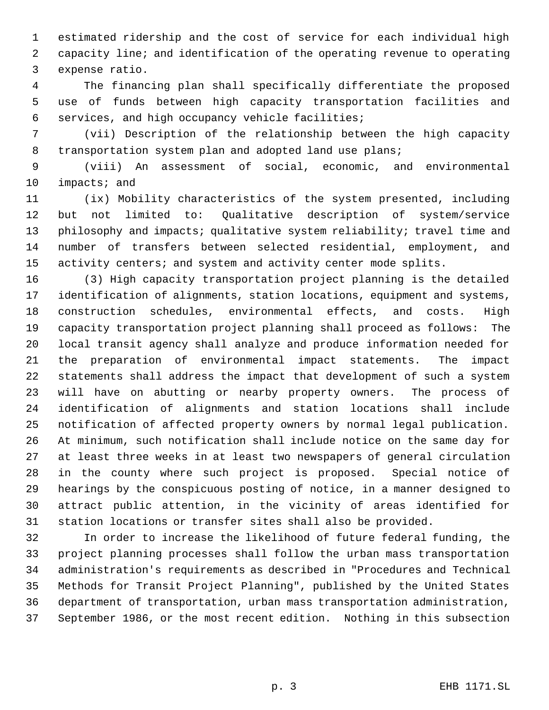estimated ridership and the cost of service for each individual high capacity line; and identification of the operating revenue to operating expense ratio.

 The financing plan shall specifically differentiate the proposed use of funds between high capacity transportation facilities and services, and high occupancy vehicle facilities;

 (vii) Description of the relationship between the high capacity 8 transportation system plan and adopted land use plans;

 (viii) An assessment of social, economic, and environmental impacts; and

 (ix) Mobility characteristics of the system presented, including but not limited to: Qualitative description of system/service 13 philosophy and impacts; qualitative system reliability; travel time and number of transfers between selected residential, employment, and 15 activity centers; and system and activity center mode splits.

 (3) High capacity transportation project planning is the detailed identification of alignments, station locations, equipment and systems, construction schedules, environmental effects, and costs. High capacity transportation project planning shall proceed as follows: The local transit agency shall analyze and produce information needed for the preparation of environmental impact statements. The impact statements shall address the impact that development of such a system will have on abutting or nearby property owners. The process of identification of alignments and station locations shall include notification of affected property owners by normal legal publication. At minimum, such notification shall include notice on the same day for at least three weeks in at least two newspapers of general circulation in the county where such project is proposed. Special notice of hearings by the conspicuous posting of notice, in a manner designed to attract public attention, in the vicinity of areas identified for station locations or transfer sites shall also be provided.

 In order to increase the likelihood of future federal funding, the project planning processes shall follow the urban mass transportation administration's requirements as described in "Procedures and Technical Methods for Transit Project Planning", published by the United States department of transportation, urban mass transportation administration, September 1986, or the most recent edition. Nothing in this subsection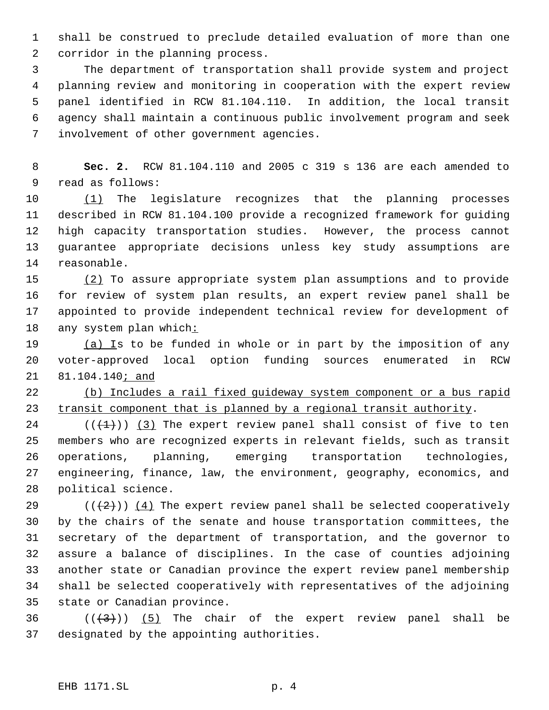shall be construed to preclude detailed evaluation of more than one corridor in the planning process.

 The department of transportation shall provide system and project planning review and monitoring in cooperation with the expert review panel identified in RCW 81.104.110. In addition, the local transit agency shall maintain a continuous public involvement program and seek involvement of other government agencies.

 **Sec. 2.** RCW 81.104.110 and 2005 c 319 s 136 are each amended to read as follows:

10 (1) The legislature recognizes that the planning processes described in RCW 81.104.100 provide a recognized framework for guiding high capacity transportation studies. However, the process cannot guarantee appropriate decisions unless key study assumptions are reasonable.

 (2) To assure appropriate system plan assumptions and to provide for review of system plan results, an expert review panel shall be appointed to provide independent technical review for development of any system plan which:

 $(a)$  Is to be funded in whole or in part by the imposition of any voter-approved local option funding sources enumerated in RCW 21 81.104.140; and

 (b) Includes a rail fixed guideway system component or a bus rapid 23 transit component that is planned by a regional transit authority.

 $((+1))$   $(3)$  The expert review panel shall consist of five to ten members who are recognized experts in relevant fields, such as transit operations, planning, emerging transportation technologies, engineering, finance, law, the environment, geography, economics, and political science.

 $((+2))$   $(4)$  The expert review panel shall be selected cooperatively by the chairs of the senate and house transportation committees, the secretary of the department of transportation, and the governor to assure a balance of disciplines. In the case of counties adjoining another state or Canadian province the expert review panel membership shall be selected cooperatively with representatives of the adjoining state or Canadian province.

36  $((\langle 3 \rangle)(5)$  The chair of the expert review panel shall be designated by the appointing authorities.